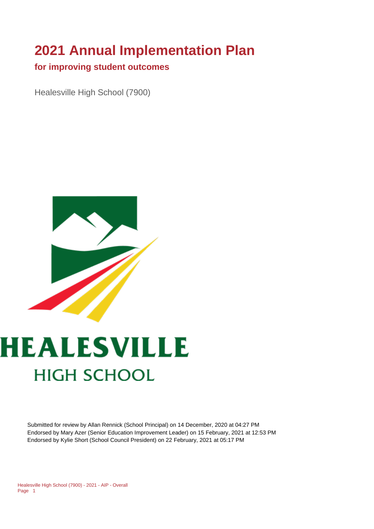# **2021 Annual Implementation Plan**

#### **for improving student outcomes**

Healesville High School (7900)



# **HEALESVILLE HIGH SCHOOL**

Submitted for review by Allan Rennick (School Principal) on 14 December, 2020 at 04:27 PM Endorsed by Mary Azer (Senior Education Improvement Leader) on 15 February, 2021 at 12:53 PM Endorsed by Kylie Short (School Council President) on 22 February, 2021 at 05:17 PM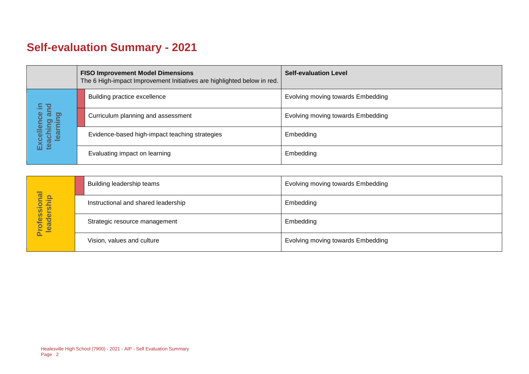## **Self-evaluation Summary - 2021**

|                                                             | <b>FISO Improvement Model Dimensions</b><br>The 6 High-impact Improvement Initiatives are highlighted below in red. |                                                | <b>Self-evaluation Level</b>      |
|-------------------------------------------------------------|---------------------------------------------------------------------------------------------------------------------|------------------------------------------------|-----------------------------------|
| bue<br>and<br>ence<br>Excellence<br>teaching ar<br>learning |                                                                                                                     | Building practice excellence                   | Evolving moving towards Embedding |
|                                                             |                                                                                                                     | Curriculum planning and assessment             | Evolving moving towards Embedding |
|                                                             |                                                                                                                     | Evidence-based high-impact teaching strategies | Embedding                         |
|                                                             |                                                                                                                     | Evaluating impact on learning                  | Embedding                         |

|                            | Building leadership teams           | Evolving moving towards Embedding |
|----------------------------|-------------------------------------|-----------------------------------|
|                            | Instructional and shared leadership | Embedding                         |
| Professional<br>leadership | Strategic resource management       | Embedding                         |
|                            | Vision, values and culture          | Evolving moving towards Embedding |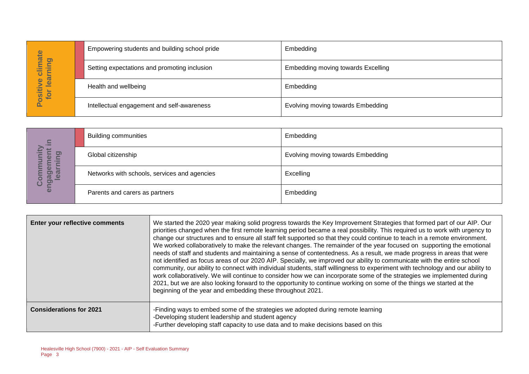| imate                             | Empowering students and building school pride | Embedding                          |
|-----------------------------------|-----------------------------------------------|------------------------------------|
| Dali<br>-<br>⊨<br>ပ               | Setting expectations and promoting inclusion  | Embedding moving towards Excelling |
| lear<br>ဖ<br><b>Ositiv</b><br>for | Health and wellbeing                          | Embedding                          |
| <u>n.</u>                         | Intellectual engagement and self-awareness    | Evolving moving towards Embedding  |

| $\Xi$                                      | <b>Building communities</b>                  | Embedding                         |
|--------------------------------------------|----------------------------------------------|-----------------------------------|
| <u>ත</u><br>$\omega$<br>œ                  | Global citizenship                           | Evolving moving towards Embedding |
| ត<br><u>ം</u><br>$\overline{\omega}$<br>ပိ | Networks with schools, services and agencies | Excelling                         |
| eng                                        | Parents and carers as partners               | Embedding                         |

|                                                                                 | Empowering students and building school pride |                                                                                                                                                                                                                            | Empedamg                                                                                                                                                                                                                                                                                                                                                                                                                                                                                                                                                                                                                                                                                                                                                                                                                                                                                                                                                                                                                                                                                                                                               |
|---------------------------------------------------------------------------------|-----------------------------------------------|----------------------------------------------------------------------------------------------------------------------------------------------------------------------------------------------------------------------------|--------------------------------------------------------------------------------------------------------------------------------------------------------------------------------------------------------------------------------------------------------------------------------------------------------------------------------------------------------------------------------------------------------------------------------------------------------------------------------------------------------------------------------------------------------------------------------------------------------------------------------------------------------------------------------------------------------------------------------------------------------------------------------------------------------------------------------------------------------------------------------------------------------------------------------------------------------------------------------------------------------------------------------------------------------------------------------------------------------------------------------------------------------|
| Positive climate<br>for learning                                                | Setting expectations and promoting inclusion  |                                                                                                                                                                                                                            | Embedding moving towards Excelling                                                                                                                                                                                                                                                                                                                                                                                                                                                                                                                                                                                                                                                                                                                                                                                                                                                                                                                                                                                                                                                                                                                     |
|                                                                                 | Health and wellbeing                          |                                                                                                                                                                                                                            | Embedding                                                                                                                                                                                                                                                                                                                                                                                                                                                                                                                                                                                                                                                                                                                                                                                                                                                                                                                                                                                                                                                                                                                                              |
|                                                                                 | Intellectual engagement and self-awareness    |                                                                                                                                                                                                                            | Evolving moving towards Embedding                                                                                                                                                                                                                                                                                                                                                                                                                                                                                                                                                                                                                                                                                                                                                                                                                                                                                                                                                                                                                                                                                                                      |
|                                                                                 |                                               |                                                                                                                                                                                                                            |                                                                                                                                                                                                                                                                                                                                                                                                                                                                                                                                                                                                                                                                                                                                                                                                                                                                                                                                                                                                                                                                                                                                                        |
|                                                                                 | <b>Building communities</b>                   |                                                                                                                                                                                                                            | Embedding                                                                                                                                                                                                                                                                                                                                                                                                                                                                                                                                                                                                                                                                                                                                                                                                                                                                                                                                                                                                                                                                                                                                              |
| earning                                                                         | Global citizenship                            |                                                                                                                                                                                                                            | Evolving moving towards Embedding                                                                                                                                                                                                                                                                                                                                                                                                                                                                                                                                                                                                                                                                                                                                                                                                                                                                                                                                                                                                                                                                                                                      |
| engagement in<br>Community                                                      |                                               | Networks with schools, services and agencies                                                                                                                                                                               | Excelling                                                                                                                                                                                                                                                                                                                                                                                                                                                                                                                                                                                                                                                                                                                                                                                                                                                                                                                                                                                                                                                                                                                                              |
|                                                                                 | Parents and carers as partners                |                                                                                                                                                                                                                            | Embedding                                                                                                                                                                                                                                                                                                                                                                                                                                                                                                                                                                                                                                                                                                                                                                                                                                                                                                                                                                                                                                                                                                                                              |
|                                                                                 |                                               |                                                                                                                                                                                                                            |                                                                                                                                                                                                                                                                                                                                                                                                                                                                                                                                                                                                                                                                                                                                                                                                                                                                                                                                                                                                                                                                                                                                                        |
| Enter your reflective comments                                                  |                                               | beginning of the year and embedding these throughout 2021.                                                                                                                                                                 | We started the 2020 year making solid progress towards the Key Improvement Strategies that formed part of our AIP. Our<br>priorities changed when the first remote learning period became a real possibility. This required us to work with urgency to<br>change our structures and to ensure all staff felt supported so that they could continue to teach in a remote environment.<br>We worked collaboratively to make the relevant changes. The remainder of the year focused on supporting the emotional<br>needs of staff and students and maintaining a sense of contentedness. As a result, we made progress in areas that were<br>not identified as focus areas of our 2020 AIP. Specially, we improved our ability to communicate with the entire school<br>community, our ability to connect with individual students, staff willingness to experiment with technology and our ability to<br>work collaboratively. We will continue to consider how we can incorporate some of the strategies we implemented during<br>2021, but we are also looking forward to the opportunity to continue working on some of the things we started at the |
| <b>Considerations for 2021</b>                                                  |                                               | -Finding ways to embed some of the strategies we adopted during remote learning<br>-Developing student leadership and student agency<br>-Further developing staff capacity to use data and to make decisions based on this |                                                                                                                                                                                                                                                                                                                                                                                                                                                                                                                                                                                                                                                                                                                                                                                                                                                                                                                                                                                                                                                                                                                                                        |
| Healesville High School (7900) - 2021 - AIP - Self Evaluation Summary<br>Page 3 |                                               |                                                                                                                                                                                                                            |                                                                                                                                                                                                                                                                                                                                                                                                                                                                                                                                                                                                                                                                                                                                                                                                                                                                                                                                                                                                                                                                                                                                                        |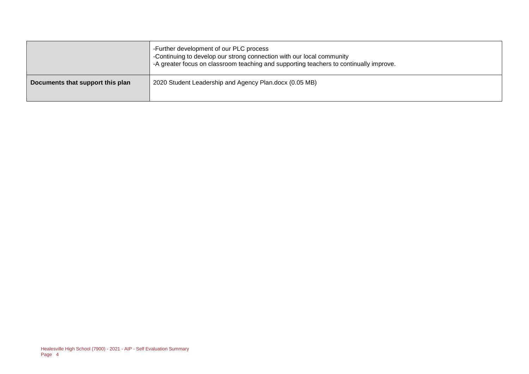|                                  | -Further development of our PLC process<br>-Continuing to develop our strong connection with our local community<br>-A greater focus on classroom teaching and supporting teachers to continually improve. |
|----------------------------------|------------------------------------------------------------------------------------------------------------------------------------------------------------------------------------------------------------|
| Documents that support this plan | 2020 Student Leadership and Agency Plan.docx (0.05 MB)                                                                                                                                                     |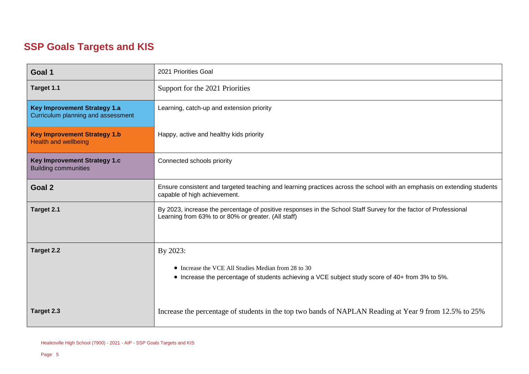#### **SSP Goals Targets and KIS**

| Goal 1                                                                    | 2021 Priorities Goal                                                                                                                                                    |  |  |
|---------------------------------------------------------------------------|-------------------------------------------------------------------------------------------------------------------------------------------------------------------------|--|--|
| Target 1.1                                                                | Support for the 2021 Priorities                                                                                                                                         |  |  |
| <b>Key Improvement Strategy 1.a</b><br>Curriculum planning and assessment | Learning, catch-up and extension priority                                                                                                                               |  |  |
| <b>Key Improvement Strategy 1.b</b><br><b>Health and wellbeing</b>        | Happy, active and healthy kids priority                                                                                                                                 |  |  |
| Key Improvement Strategy 1.c<br><b>Building communities</b>               | Connected schools priority                                                                                                                                              |  |  |
| Goal 2                                                                    | Ensure consistent and targeted teaching and learning practices across the school with an emphasis on extending students<br>capable of high achievement.                 |  |  |
| Target 2.1                                                                | By 2023, increase the percentage of positive responses in the School Staff Survey for the factor of Professional<br>Learning from 63% to or 80% or greater. (All staff) |  |  |
| <b>Target 2.2</b>                                                         | By 2023:                                                                                                                                                                |  |  |
|                                                                           | • Increase the VCE All Studies Median from 28 to 30<br>• Increase the percentage of students achieving a VCE subject study score of 40+ from 3% to 5%.                  |  |  |
| Target 2.3                                                                | Increase the percentage of students in the top two bands of NAPLAN Reading at Year 9 from 12.5% to 25%                                                                  |  |  |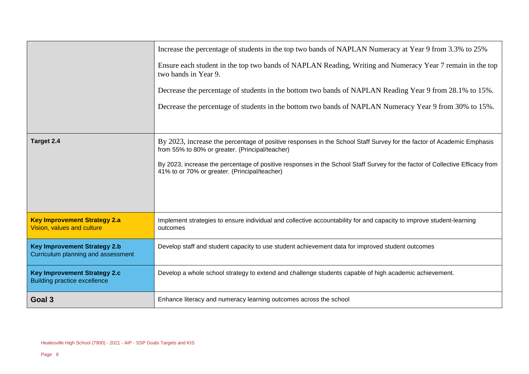|                                                                            | Increase the percentage of students in the top two bands of NAPLAN Numeracy at Year 9 from 3.3% to 25%<br>Ensure each student in the top two bands of NAPLAN Reading, Writing and Numeracy Year 7 remain in the top<br>two bands in Year 9.<br>Decrease the percentage of students in the bottom two bands of NAPLAN Reading Year 9 from 28.1% to 15%.<br>Decrease the percentage of students in the bottom two bands of NAPLAN Numeracy Year 9 from 30% to 15%. |  |
|----------------------------------------------------------------------------|------------------------------------------------------------------------------------------------------------------------------------------------------------------------------------------------------------------------------------------------------------------------------------------------------------------------------------------------------------------------------------------------------------------------------------------------------------------|--|
|                                                                            |                                                                                                                                                                                                                                                                                                                                                                                                                                                                  |  |
| Target 2.4                                                                 | By 2023, increase the percentage of positive responses in the School Staff Survey for the factor of Academic Emphasis<br>from 55% to 80% or greater. (Principal/teacher)                                                                                                                                                                                                                                                                                         |  |
|                                                                            | By 2023, increase the percentage of positive responses in the School Staff Survey for the factor of Collective Efficacy from<br>41% to or 70% or greater. (Principal/teacher)                                                                                                                                                                                                                                                                                    |  |
|                                                                            |                                                                                                                                                                                                                                                                                                                                                                                                                                                                  |  |
| <b>Key Improvement Strategy 2.a</b><br>Vision, values and culture          | Implement strategies to ensure individual and collective accountability for and capacity to improve student-learning<br>outcomes                                                                                                                                                                                                                                                                                                                                 |  |
| <b>Key Improvement Strategy 2.b</b><br>Curriculum planning and assessment  | Develop staff and student capacity to use student achievement data for improved student outcomes                                                                                                                                                                                                                                                                                                                                                                 |  |
| <b>Key Improvement Strategy 2.c</b><br><b>Building practice excellence</b> | Develop a whole school strategy to extend and challenge students capable of high academic achievement.                                                                                                                                                                                                                                                                                                                                                           |  |
| Goal 3                                                                     | Enhance literacy and numeracy learning outcomes across the school                                                                                                                                                                                                                                                                                                                                                                                                |  |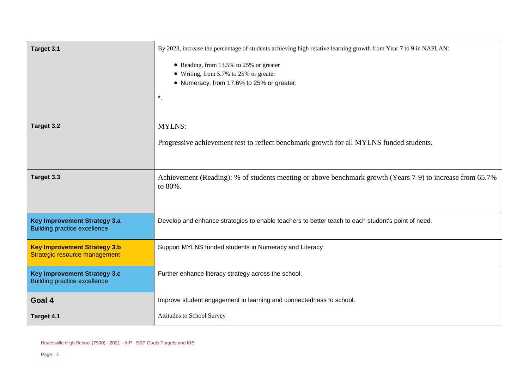| Target 3.1                                                                 | By 2023, increase the percentage of students achieving high relative learning growth from Year 7 to 9 in NAPLAN:<br>• Reading, from 13.5% to 25% or greater |  |
|----------------------------------------------------------------------------|-------------------------------------------------------------------------------------------------------------------------------------------------------------|--|
|                                                                            | • Writing, from 5.7% to 25% or greater<br>• Numeracy, from 17.6% to 25% or greater.<br>$^{\star}.$                                                          |  |
|                                                                            |                                                                                                                                                             |  |
| Target 3.2                                                                 | <b>MYLNS:</b>                                                                                                                                               |  |
|                                                                            | Progressive achievement test to reflect benchmark growth for all MYLNS funded students.                                                                     |  |
| Target 3.3                                                                 | Achievement (Reading): % of students meeting or above benchmark growth (Years 7-9) to increase from 65.7%<br>to 80%.                                        |  |
| <b>Key Improvement Strategy 3.a</b><br><b>Building practice excellence</b> | Develop and enhance strategies to enable teachers to better teach to each student's point of need.                                                          |  |
| <b>Key Improvement Strategy 3.b</b><br>Strategic resource management       | Support MYLNS funded students in Numeracy and Literacy                                                                                                      |  |
| <b>Key Improvement Strategy 3.c</b><br><b>Building practice excellence</b> | Further enhance literacy strategy across the school.                                                                                                        |  |
| Goal 4                                                                     | Improve student engagement in learning and connectedness to school.                                                                                         |  |
| Target 4.1                                                                 | Attitudes to School Survey                                                                                                                                  |  |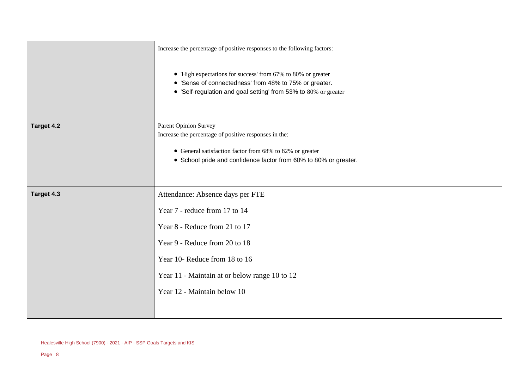|            | Increase the percentage of positive responses to the following factors:                                                                                                                   |
|------------|-------------------------------------------------------------------------------------------------------------------------------------------------------------------------------------------|
|            | • 'High expectations for success' from 67% to 80% or greater<br>• 'Sense of connectedness' from 48% to 75% or greater.<br>• 'Self-regulation and goal setting' from 53% to 80% or greater |
| Target 4.2 | <b>Parent Opinion Survey</b><br>Increase the percentage of positive responses in the:                                                                                                     |
|            | • General satisfaction factor from 68% to 82% or greater<br>• School pride and confidence factor from 60% to 80% or greater.                                                              |
| Target 4.3 | Attendance: Absence days per FTE                                                                                                                                                          |
|            | Year 7 - reduce from 17 to 14                                                                                                                                                             |
|            | Year 8 - Reduce from 21 to 17                                                                                                                                                             |
|            | Year 9 - Reduce from 20 to 18                                                                                                                                                             |
|            | Year 10- Reduce from 18 to 16                                                                                                                                                             |
|            | Year 11 - Maintain at or below range 10 to 12                                                                                                                                             |
|            | Year 12 - Maintain below 10                                                                                                                                                               |
|            |                                                                                                                                                                                           |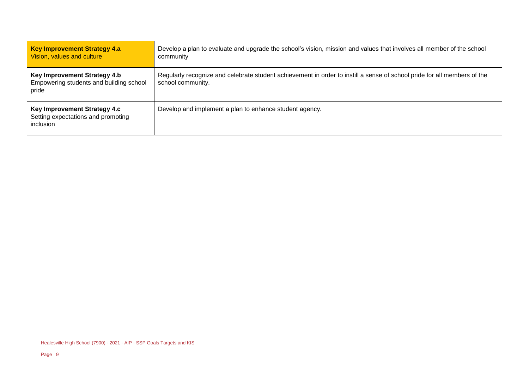| <b>Key Improvement Strategy 4.a</b><br>Vision, values and culture                | Develop a plan to evaluate and upgrade the school's vision, mission and values that involves all member of the school<br>community            |  |
|----------------------------------------------------------------------------------|-----------------------------------------------------------------------------------------------------------------------------------------------|--|
| Key Improvement Strategy 4.b<br>Empowering students and building school<br>pride | Regularly recognize and celebrate student achievement in order to instill a sense of school pride for all members of the<br>school community. |  |
| Key Improvement Strategy 4.c<br>Setting expectations and promoting<br>inclusion  | Develop and implement a plan to enhance student agency.                                                                                       |  |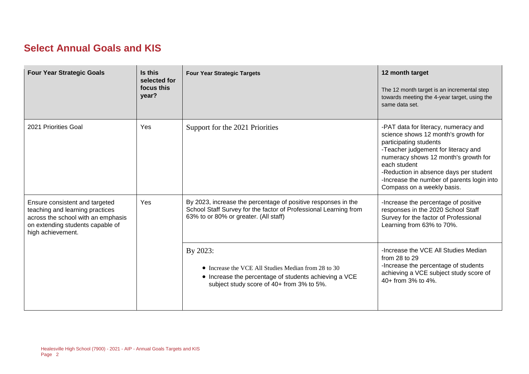#### **Select Annual Goals and KIS**

| <b>Four Year Strategic Goals</b>                                                                                                                                 | Is this<br>selected for<br>focus this<br>year? | <b>Four Year Strategic Targets</b>                                                                                                                                         | 12 month target<br>The 12 month target is an incremental step<br>towards meeting the 4-year target, using the<br>same data set.                                                                                                                                                                                            |
|------------------------------------------------------------------------------------------------------------------------------------------------------------------|------------------------------------------------|----------------------------------------------------------------------------------------------------------------------------------------------------------------------------|----------------------------------------------------------------------------------------------------------------------------------------------------------------------------------------------------------------------------------------------------------------------------------------------------------------------------|
| 2021 Priorities Goal                                                                                                                                             | Yes                                            | Support for the 2021 Priorities                                                                                                                                            | -PAT data for literacy, numeracy and<br>science shows 12 month's growth for<br>participating students<br>-Teacher judgement for literacy and<br>numeracy shows 12 month's growth for<br>each student<br>-Reduction in absence days per student<br>-Increase the number of parents login into<br>Compass on a weekly basis. |
| Ensure consistent and targeted<br>teaching and learning practices<br>across the school with an emphasis<br>on extending students capable of<br>high achievement. | Yes                                            | By 2023, increase the percentage of positive responses in the<br>School Staff Survey for the factor of Professional Learning from<br>63% to or 80% or greater. (All staff) | -Increase the percentage of positive<br>responses in the 2020 School Staff<br>Survey for the factor of Professional<br>Learning from 63% to 70%.                                                                                                                                                                           |
|                                                                                                                                                                  |                                                | By 2023:<br>• Increase the VCE All Studies Median from 28 to 30<br>• Increase the percentage of students achieving a VCE<br>subject study score of 40+ from 3% to 5%.      | -Increase the VCE All Studies Median<br>from $28$ to $29$<br>-Increase the percentage of students<br>achieving a VCE subject study score of<br>$40+$ from $3\%$ to $4\%$ .                                                                                                                                                 |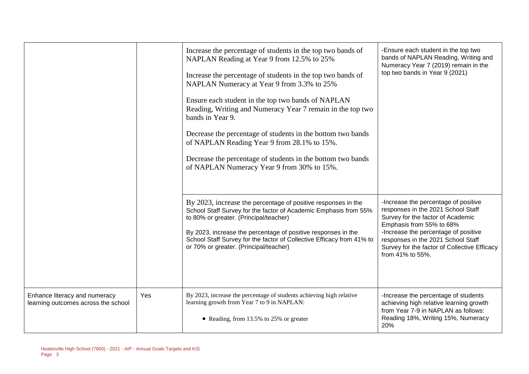|                                                                      |     | Increase the percentage of students in the top two bands of<br>NAPLAN Reading at Year 9 from 12.5% to 25%<br>Increase the percentage of students in the top two bands of<br>NAPLAN Numeracy at Year 9 from 3.3% to 25%<br>Ensure each student in the top two bands of NAPLAN<br>Reading, Writing and Numeracy Year 7 remain in the top two<br>bands in Year 9.<br>Decrease the percentage of students in the bottom two bands<br>of NAPLAN Reading Year 9 from 28.1% to 15%.<br>Decrease the percentage of students in the bottom two bands<br>of NAPLAN Numeracy Year 9 from 30% to 15%. | -Ensure each student in the top two<br>bands of NAPLAN Reading, Writing and<br>Numeracy Year 7 (2019) remain in the<br>top two bands in Year 9 (2021)                                                                                                                                         |
|----------------------------------------------------------------------|-----|-------------------------------------------------------------------------------------------------------------------------------------------------------------------------------------------------------------------------------------------------------------------------------------------------------------------------------------------------------------------------------------------------------------------------------------------------------------------------------------------------------------------------------------------------------------------------------------------|-----------------------------------------------------------------------------------------------------------------------------------------------------------------------------------------------------------------------------------------------------------------------------------------------|
|                                                                      |     | By 2023, increase the percentage of positive responses in the<br>School Staff Survey for the factor of Academic Emphasis from 55%<br>to 80% or greater. (Principal/teacher)<br>By 2023, increase the percentage of positive responses in the<br>School Staff Survey for the factor of Collective Efficacy from 41% to<br>or 70% or greater. (Principal/teacher)                                                                                                                                                                                                                           | -Increase the percentage of positive<br>responses in the 2021 School Staff<br>Survey for the factor of Academic<br>Emphasis from 55% to 68%<br>-Increase the percentage of positive<br>responses in the 2021 School Staff<br>Survey for the factor of Collective Efficacy<br>from 41% to 55%. |
| Enhance literacy and numeracy<br>learning outcomes across the school | Yes | By 2023, increase the percentage of students achieving high relative<br>learning growth from Year 7 to 9 in NAPLAN:<br>• Reading, from 13.5% to 25% or greater                                                                                                                                                                                                                                                                                                                                                                                                                            | -Increase the percentage of students<br>achieving high relative learning growth<br>from Year 7-9 in NAPLAN as follows:<br>Reading 18%, Writing 15%, Numeracy<br>20%                                                                                                                           |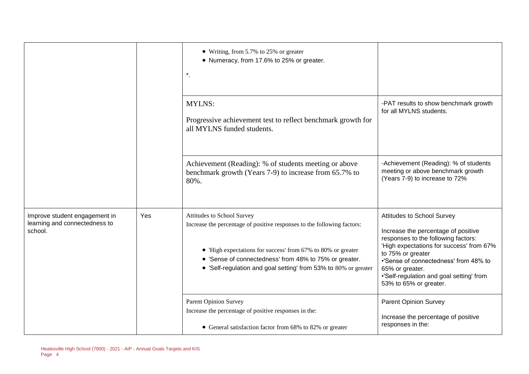|                                                                           |     | • Writing, from 5.7% to 25% or greater<br>• Numeracy, from 17.6% to 25% or greater.<br>$^\star.$                                                                                                                                                                                                   |                                                                                                                                                                                                                                                                                                             |
|---------------------------------------------------------------------------|-----|----------------------------------------------------------------------------------------------------------------------------------------------------------------------------------------------------------------------------------------------------------------------------------------------------|-------------------------------------------------------------------------------------------------------------------------------------------------------------------------------------------------------------------------------------------------------------------------------------------------------------|
|                                                                           |     | <b>MYLNS:</b><br>Progressive achievement test to reflect benchmark growth for<br>all MYLNS funded students.                                                                                                                                                                                        | -PAT results to show benchmark growth<br>for all MYLNS students.                                                                                                                                                                                                                                            |
|                                                                           |     | Achievement (Reading): % of students meeting or above<br>benchmark growth (Years 7-9) to increase from 65.7% to<br>80%.                                                                                                                                                                            | -Achievement (Reading): % of students<br>meeting or above benchmark growth<br>(Years 7-9) to increase to 72%                                                                                                                                                                                                |
| Improve student engagement in<br>learning and connectedness to<br>school. | Yes | Attitudes to School Survey<br>Increase the percentage of positive responses to the following factors:<br>• 'High expectations for success' from 67% to 80% or greater<br>• 'Sense of connectedness' from 48% to 75% or greater.<br>• 'Self-regulation and goal setting' from 53% to 80% or greater | Attitudes to School Survey<br>Increase the percentage of positive<br>responses to the following factors:<br>'High expectations for success' from 67%<br>to 75% or greater<br>•'Sense of connectedness' from 48% to<br>65% or greater.<br>.'Self-regulation and goal setting' from<br>53% to 65% or greater. |
|                                                                           |     | <b>Parent Opinion Survey</b><br>Increase the percentage of positive responses in the:<br>• General satisfaction factor from 68% to 82% or greater                                                                                                                                                  | <b>Parent Opinion Survey</b><br>Increase the percentage of positive<br>responses in the:                                                                                                                                                                                                                    |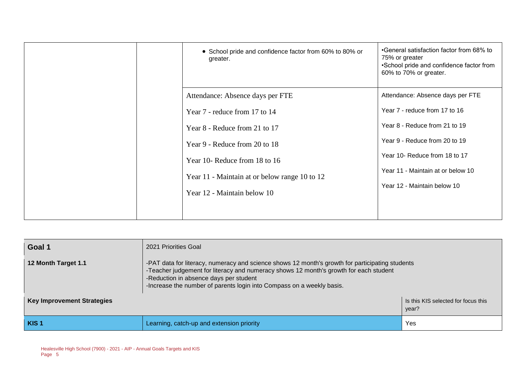| • School pride and confidence factor from 60% to 80% or<br>greater. | •General satisfaction factor from 68% to<br>75% or greater<br>•School pride and confidence factor from<br>60% to 70% or greater. |
|---------------------------------------------------------------------|----------------------------------------------------------------------------------------------------------------------------------|
| Attendance: Absence days per FTE                                    | Attendance: Absence days per FTE                                                                                                 |
| Year 7 - reduce from 17 to 14                                       | Year 7 - reduce from 17 to 16                                                                                                    |
| Year 8 - Reduce from 21 to 17                                       | Year 8 - Reduce from 21 to 19                                                                                                    |
| Year 9 - Reduce from 20 to 18                                       | Year 9 - Reduce from 20 to 19                                                                                                    |
| Year 10- Reduce from 18 to 16                                       | Year 10- Reduce from 18 to 17                                                                                                    |
| Year 11 - Maintain at or below range 10 to 12                       | Year 11 - Maintain at or below 10                                                                                                |
| Year 12 - Maintain below 10                                         | Year 12 - Maintain below 10                                                                                                      |
|                                                                     |                                                                                                                                  |

| Goal 1                                                                            | 2021 Priorities Goal                                                                                                                                                                                                                                                                                        |     |  |  |
|-----------------------------------------------------------------------------------|-------------------------------------------------------------------------------------------------------------------------------------------------------------------------------------------------------------------------------------------------------------------------------------------------------------|-----|--|--|
| 12 Month Target 1.1                                                               | -PAT data for literacy, numeracy and science shows 12 month's growth for participating students<br>-Teacher judgement for literacy and numeracy shows 12 month's growth for each student<br>-Reduction in absence days per student<br>-Increase the number of parents login into Compass on a weekly basis. |     |  |  |
| <b>Key Improvement Strategies</b><br>Is this KIS selected for focus this<br>year? |                                                                                                                                                                                                                                                                                                             |     |  |  |
| KIS <sub>1</sub>                                                                  | Learning, catch-up and extension priority                                                                                                                                                                                                                                                                   | Yes |  |  |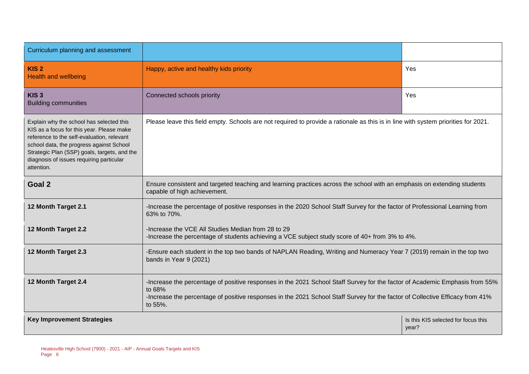| Curriculum planning and assessment                                                                                                                                                                                                                                                        |                                                                                                                                                                                                                                                                                   |                                              |  |  |
|-------------------------------------------------------------------------------------------------------------------------------------------------------------------------------------------------------------------------------------------------------------------------------------------|-----------------------------------------------------------------------------------------------------------------------------------------------------------------------------------------------------------------------------------------------------------------------------------|----------------------------------------------|--|--|
| KIS <sub>2</sub><br><b>Health and wellbeing</b>                                                                                                                                                                                                                                           | Happy, active and healthy kids priority                                                                                                                                                                                                                                           | Yes                                          |  |  |
| KIS <sub>3</sub><br><b>Building communities</b>                                                                                                                                                                                                                                           | Connected schools priority                                                                                                                                                                                                                                                        | Yes                                          |  |  |
| Explain why the school has selected this<br>KIS as a focus for this year. Please make<br>reference to the self-evaluation, relevant<br>school data, the progress against School<br>Strategic Plan (SSP) goals, targets, and the<br>diagnosis of issues requiring particular<br>attention. | Please leave this field empty. Schools are not required to provide a rationale as this is in line with system priorities for 2021.                                                                                                                                                |                                              |  |  |
| Goal 2                                                                                                                                                                                                                                                                                    | Ensure consistent and targeted teaching and learning practices across the school with an emphasis on extending students<br>capable of high achievement.                                                                                                                           |                                              |  |  |
| 12 Month Target 2.1                                                                                                                                                                                                                                                                       | -Increase the percentage of positive responses in the 2020 School Staff Survey for the factor of Professional Learning from<br>63% to 70%.                                                                                                                                        |                                              |  |  |
| 12 Month Target 2.2                                                                                                                                                                                                                                                                       | -Increase the VCE All Studies Median from 28 to 29<br>-Increase the percentage of students achieving a VCE subject study score of 40+ from 3% to 4%.                                                                                                                              |                                              |  |  |
| 12 Month Target 2.3                                                                                                                                                                                                                                                                       | -Ensure each student in the top two bands of NAPLAN Reading, Writing and Numeracy Year 7 (2019) remain in the top two<br>bands in Year 9 (2021)                                                                                                                                   |                                              |  |  |
| 12 Month Target 2.4                                                                                                                                                                                                                                                                       | -Increase the percentage of positive responses in the 2021 School Staff Survey for the factor of Academic Emphasis from 55%<br>to 68%<br>-Increase the percentage of positive responses in the 2021 School Staff Survey for the factor of Collective Efficacy from 41%<br>to 55%. |                                              |  |  |
| <b>Key Improvement Strategies</b>                                                                                                                                                                                                                                                         |                                                                                                                                                                                                                                                                                   | Is this KIS selected for focus this<br>year? |  |  |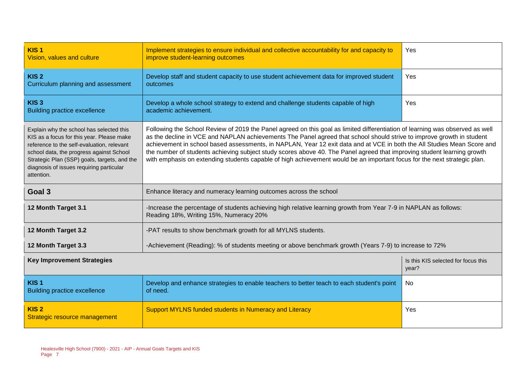| KIS <sub>1</sub><br>Vision, values and culture                                                                                                                                                                                                                                            | Implement strategies to ensure individual and collective accountability for and capacity to<br>improve student-learning outcomes                                                                                                                                                                                                                                                                                                                                                                                                                                                                                                         | Yes |  |  |  |
|-------------------------------------------------------------------------------------------------------------------------------------------------------------------------------------------------------------------------------------------------------------------------------------------|------------------------------------------------------------------------------------------------------------------------------------------------------------------------------------------------------------------------------------------------------------------------------------------------------------------------------------------------------------------------------------------------------------------------------------------------------------------------------------------------------------------------------------------------------------------------------------------------------------------------------------------|-----|--|--|--|
| KIS <sub>2</sub><br>Curriculum planning and assessment                                                                                                                                                                                                                                    | Develop staff and student capacity to use student achievement data for improved student<br>outcomes                                                                                                                                                                                                                                                                                                                                                                                                                                                                                                                                      | Yes |  |  |  |
| KIS <sub>3</sub><br><b>Building practice excellence</b>                                                                                                                                                                                                                                   | Develop a whole school strategy to extend and challenge students capable of high<br>academic achievement.                                                                                                                                                                                                                                                                                                                                                                                                                                                                                                                                | Yes |  |  |  |
| Explain why the school has selected this<br>KIS as a focus for this year. Please make<br>reference to the self-evaluation, relevant<br>school data, the progress against School<br>Strategic Plan (SSP) goals, targets, and the<br>diagnosis of issues requiring particular<br>attention. | Following the School Review of 2019 the Panel agreed on this goal as limited differentiation of learning was observed as well<br>as the decline in VCE and NAPLAN achievements The Panel agreed that school should strive to improve growth in student<br>achievement in school based assessments, in NAPLAN, Year 12 exit data and at VCE in both the All Studies Mean Score and<br>the number of students achieving subject study scores above 40. The Panel agreed that improving student learning growth<br>with emphasis on extending students capable of high achievement would be an important focus for the next strategic plan. |     |  |  |  |
| Goal 3                                                                                                                                                                                                                                                                                    | Enhance literacy and numeracy learning outcomes across the school                                                                                                                                                                                                                                                                                                                                                                                                                                                                                                                                                                        |     |  |  |  |
| 12 Month Target 3.1<br>-Increase the percentage of students achieving high relative learning growth from Year 7-9 in NAPLAN as follows:<br>Reading 18%, Writing 15%, Numeracy 20%                                                                                                         |                                                                                                                                                                                                                                                                                                                                                                                                                                                                                                                                                                                                                                          |     |  |  |  |
| 12 Month Target 3.2                                                                                                                                                                                                                                                                       | -PAT results to show benchmark growth for all MYLNS students.                                                                                                                                                                                                                                                                                                                                                                                                                                                                                                                                                                            |     |  |  |  |
| 12 Month Target 3.3                                                                                                                                                                                                                                                                       | -Achievement (Reading): % of students meeting or above benchmark growth (Years 7-9) to increase to 72%                                                                                                                                                                                                                                                                                                                                                                                                                                                                                                                                   |     |  |  |  |
| <b>Key Improvement Strategies</b>                                                                                                                                                                                                                                                         | Is this KIS selected for focus this<br>year?                                                                                                                                                                                                                                                                                                                                                                                                                                                                                                                                                                                             |     |  |  |  |
| KIS <sub>1</sub><br><b>Building practice excellence</b>                                                                                                                                                                                                                                   | Develop and enhance strategies to enable teachers to better teach to each student's point<br>of need.                                                                                                                                                                                                                                                                                                                                                                                                                                                                                                                                    | No  |  |  |  |
|                                                                                                                                                                                                                                                                                           |                                                                                                                                                                                                                                                                                                                                                                                                                                                                                                                                                                                                                                          |     |  |  |  |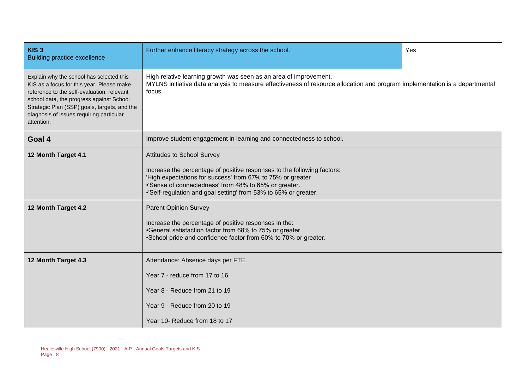| KIS <sub>3</sub><br><b>Building practice excellence</b>                                                                                                                                                                                                                                   | Further enhance literacy strategy across the school.                                                                                                                                                                                                                                                   | Yes |  |  |  |
|-------------------------------------------------------------------------------------------------------------------------------------------------------------------------------------------------------------------------------------------------------------------------------------------|--------------------------------------------------------------------------------------------------------------------------------------------------------------------------------------------------------------------------------------------------------------------------------------------------------|-----|--|--|--|
| Explain why the school has selected this<br>KIS as a focus for this year. Please make<br>reference to the self-evaluation, relevant<br>school data, the progress against School<br>Strategic Plan (SSP) goals, targets, and the<br>diagnosis of issues requiring particular<br>attention. | High relative learning growth was seen as an area of improvement.<br>MYLNS initiative data analysis to measure effectiveness of resource allocation and program implementation is a departmental<br>focus.                                                                                             |     |  |  |  |
| Goal 4                                                                                                                                                                                                                                                                                    | Improve student engagement in learning and connectedness to school.                                                                                                                                                                                                                                    |     |  |  |  |
| 12 Month Target 4.1                                                                                                                                                                                                                                                                       | <b>Attitudes to School Survey</b><br>Increase the percentage of positive responses to the following factors:<br>'High expectations for success' from 67% to 75% or greater<br>•'Sense of connectedness' from 48% to 65% or greater.<br>.'Self-regulation and goal setting' from 53% to 65% or greater. |     |  |  |  |
| 12 Month Target 4.2                                                                                                                                                                                                                                                                       | <b>Parent Opinion Survey</b><br>Increase the percentage of positive responses in the:<br>•General satisfaction factor from 68% to 75% or greater<br>•School pride and confidence factor from 60% to 70% or greater.                                                                                    |     |  |  |  |
| 12 Month Target 4.3                                                                                                                                                                                                                                                                       | Attendance: Absence days per FTE<br>Year 7 - reduce from 17 to 16<br>Year 8 - Reduce from 21 to 19<br>Year 9 - Reduce from 20 to 19<br>Year 10- Reduce from 18 to 17                                                                                                                                   |     |  |  |  |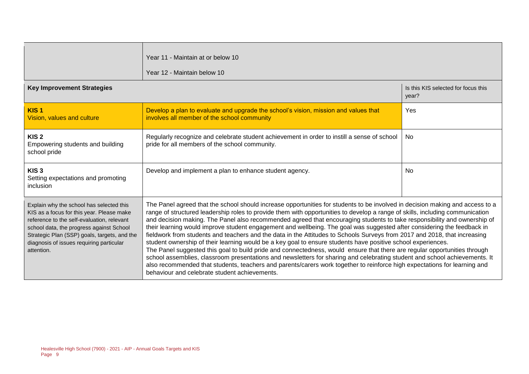|                                                                                                                                                                                                                                                                                           | Year 11 - Maintain at or below 10<br>Year 12 - Maintain below 10                                                                                                                                                                                                                                                                                                                                                                                                                                                                                                                                                                                                                                                                                                                                                                                                                                                                                                                                                                                                                                                                                                                                            |                                              |  |  |
|-------------------------------------------------------------------------------------------------------------------------------------------------------------------------------------------------------------------------------------------------------------------------------------------|-------------------------------------------------------------------------------------------------------------------------------------------------------------------------------------------------------------------------------------------------------------------------------------------------------------------------------------------------------------------------------------------------------------------------------------------------------------------------------------------------------------------------------------------------------------------------------------------------------------------------------------------------------------------------------------------------------------------------------------------------------------------------------------------------------------------------------------------------------------------------------------------------------------------------------------------------------------------------------------------------------------------------------------------------------------------------------------------------------------------------------------------------------------------------------------------------------------|----------------------------------------------|--|--|
| <b>Key Improvement Strategies</b>                                                                                                                                                                                                                                                         |                                                                                                                                                                                                                                                                                                                                                                                                                                                                                                                                                                                                                                                                                                                                                                                                                                                                                                                                                                                                                                                                                                                                                                                                             | Is this KIS selected for focus this<br>year? |  |  |
| KIS <sub>1</sub><br>Vision, values and culture                                                                                                                                                                                                                                            | Develop a plan to evaluate and upgrade the school's vision, mission and values that<br>involves all member of the school community                                                                                                                                                                                                                                                                                                                                                                                                                                                                                                                                                                                                                                                                                                                                                                                                                                                                                                                                                                                                                                                                          | Yes                                          |  |  |
| KIS <sub>2</sub><br>Empowering students and building<br>school pride                                                                                                                                                                                                                      | Regularly recognize and celebrate student achievement in order to instill a sense of school<br>pride for all members of the school community.                                                                                                                                                                                                                                                                                                                                                                                                                                                                                                                                                                                                                                                                                                                                                                                                                                                                                                                                                                                                                                                               | No.                                          |  |  |
| KIS <sub>3</sub><br>Setting expectations and promoting<br><i>inclusion</i>                                                                                                                                                                                                                | Develop and implement a plan to enhance student agency.                                                                                                                                                                                                                                                                                                                                                                                                                                                                                                                                                                                                                                                                                                                                                                                                                                                                                                                                                                                                                                                                                                                                                     | No.                                          |  |  |
| Explain why the school has selected this<br>KIS as a focus for this year. Please make<br>reference to the self-evaluation, relevant<br>school data, the progress against School<br>Strategic Plan (SSP) goals, targets, and the<br>diagnosis of issues requiring particular<br>attention. | The Panel agreed that the school should increase opportunities for students to be involved in decision making and access to a<br>range of structured leadership roles to provide them with opportunities to develop a range of skills, including communication<br>and decision making. The Panel also recommended agreed that encouraging students to take responsibility and ownership of<br>their learning would improve student engagement and wellbeing. The goal was suggested after considering the feedback in<br>fieldwork from students and teachers and the data in the Attitudes to Schools Surveys from 2017 and 2018, that increasing<br>student ownership of their learning would be a key goal to ensure students have positive school experiences.<br>The Panel suggested this goal to build pride and connectedness, would ensure that there are regular opportunities through<br>school assemblies, classroom presentations and newsletters for sharing and celebrating student and school achievements. It<br>also recommended that students, teachers and parents/carers work together to reinforce high expectations for learning and<br>behaviour and celebrate student achievements. |                                              |  |  |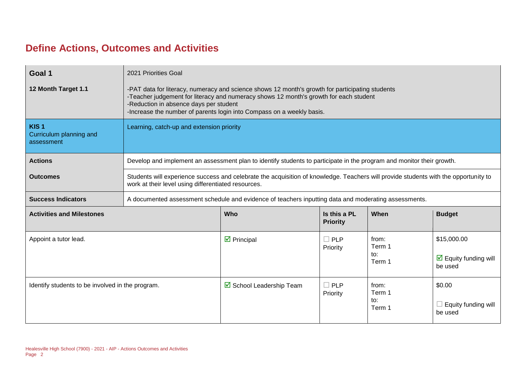#### **Define Actions, Outcomes and Activities**

| Goal 1                                                    | 2021 Priorities Goal                                                                                                                                                                                                                                                                                        |                                                                                                                       |                                 |                                  |                                                                |
|-----------------------------------------------------------|-------------------------------------------------------------------------------------------------------------------------------------------------------------------------------------------------------------------------------------------------------------------------------------------------------------|-----------------------------------------------------------------------------------------------------------------------|---------------------------------|----------------------------------|----------------------------------------------------------------|
| 12 Month Target 1.1                                       | -PAT data for literacy, numeracy and science shows 12 month's growth for participating students<br>-Teacher judgement for literacy and numeracy shows 12 month's growth for each student<br>-Reduction in absence days per student<br>-Increase the number of parents login into Compass on a weekly basis. |                                                                                                                       |                                 |                                  |                                                                |
| KIS <sub>1</sub><br>Curriculum planning and<br>assessment | Learning, catch-up and extension priority                                                                                                                                                                                                                                                                   |                                                                                                                       |                                 |                                  |                                                                |
| <b>Actions</b>                                            |                                                                                                                                                                                                                                                                                                             | Develop and implement an assessment plan to identify students to participate in the program and monitor their growth. |                                 |                                  |                                                                |
| <b>Outcomes</b>                                           | Students will experience success and celebrate the acquisition of knowledge. Teachers will provide students with the opportunity to<br>work at their level using differentiated resources.                                                                                                                  |                                                                                                                       |                                 |                                  |                                                                |
| <b>Success Indicators</b>                                 |                                                                                                                                                                                                                                                                                                             | A documented assessment schedule and evidence of teachers inputting data and moderating assessments.                  |                                 |                                  |                                                                |
| <b>Activities and Milestones</b>                          |                                                                                                                                                                                                                                                                                                             | Who                                                                                                                   | Is this a PL<br><b>Priority</b> | When                             | <b>Budget</b>                                                  |
| Appoint a tutor lead.                                     |                                                                                                                                                                                                                                                                                                             | $\triangleright$ Principal                                                                                            | $\square$ PLP<br>Priority       | from:<br>Term 1<br>to:<br>Term 1 | \$15,000.00<br>$\triangleright$ Equity funding will<br>be used |
| Identify students to be involved in the program.          |                                                                                                                                                                                                                                                                                                             | ☑ School Leadership Team                                                                                              | $\Box$ PLP<br>Priority          | from:<br>Term 1<br>to:<br>Term 1 | \$0.00<br>$\Box$ Equity funding will<br>be used                |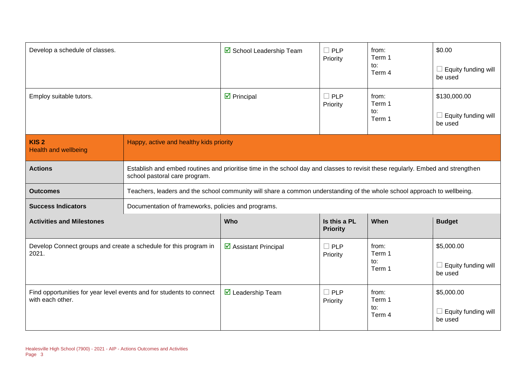| Develop a schedule of classes.                                                           |                                                     | ☑ School Leadership Team                                                                                                        | $\Box$ PLP<br>Priority          | from:<br>Term 1<br>to:<br>Term 4 | \$0.00<br>Equity funding will<br>be used       |
|------------------------------------------------------------------------------------------|-----------------------------------------------------|---------------------------------------------------------------------------------------------------------------------------------|---------------------------------|----------------------------------|------------------------------------------------|
| Employ suitable tutors.                                                                  |                                                     | $\triangleright$ Principal                                                                                                      | $\Box$ PLP<br>Priority          | from:<br>Term 1<br>to:<br>Term 1 | \$130,000.00<br>Equity funding will<br>be used |
| KIS <sub>2</sub><br><b>Health and wellbeing</b>                                          | Happy, active and healthy kids priority             |                                                                                                                                 |                                 |                                  |                                                |
| <b>Actions</b>                                                                           | school pastoral care program.                       | Establish and embed routines and prioritise time in the school day and classes to revisit these regularly. Embed and strengthen |                                 |                                  |                                                |
| <b>Outcomes</b>                                                                          |                                                     | Teachers, leaders and the school community will share a common understanding of the whole school approach to wellbeing.         |                                 |                                  |                                                |
| <b>Success Indicators</b>                                                                | Documentation of frameworks, policies and programs. |                                                                                                                                 |                                 |                                  |                                                |
| <b>Activities and Milestones</b>                                                         |                                                     | Who                                                                                                                             | Is this a PL<br><b>Priority</b> | When                             | <b>Budget</b>                                  |
| Develop Connect groups and create a schedule for this program in<br>2021.                |                                                     | $\triangleright$ Assistant Principal                                                                                            | $\Box$ PLP<br>Priority          | from:<br>Term 1<br>to:<br>Term 1 | \$5,000.00<br>Equity funding will<br>be used   |
| Find opportunities for year level events and for students to connect<br>with each other. |                                                     | $\triangleright$ Leadership Team                                                                                                | $\Box$ PLP<br>Priority          | from:<br>Term 1<br>to:<br>Term 4 | \$5,000.00<br>Equity funding will<br>be used   |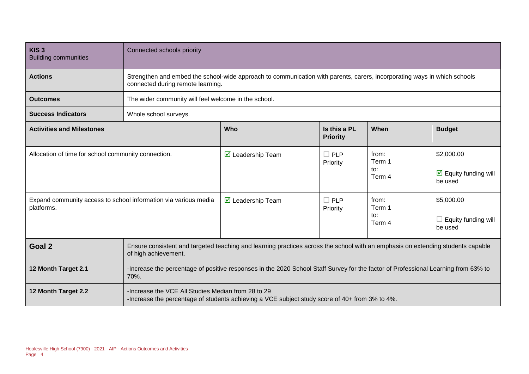| KIS <sub>3</sub><br><b>Building communities</b>                               | Connected schools priority                                                                                                                                    |                                                                                                |                        |                                  |                                                                      |
|-------------------------------------------------------------------------------|---------------------------------------------------------------------------------------------------------------------------------------------------------------|------------------------------------------------------------------------------------------------|------------------------|----------------------------------|----------------------------------------------------------------------|
| <b>Actions</b>                                                                | Strengthen and embed the school-wide approach to communication with parents, carers, incorporating ways in which schools<br>connected during remote learning. |                                                                                                |                        |                                  |                                                                      |
| <b>Outcomes</b>                                                               | The wider community will feel welcome in the school.                                                                                                          |                                                                                                |                        |                                  |                                                                      |
| <b>Success Indicators</b>                                                     | Whole school surveys.                                                                                                                                         |                                                                                                |                        |                                  |                                                                      |
| <b>Activities and Milestones</b>                                              | Who<br>Is this a PL<br><b>Priority</b>                                                                                                                        |                                                                                                |                        | When                             | <b>Budget</b>                                                        |
| Allocation of time for school community connection.                           |                                                                                                                                                               | $\triangleright$ Leadership Team                                                               | $\Box$ PLP<br>Priority | from:<br>Term 1<br>to:<br>Term 4 | \$2,000.00<br>$\overline{\mathbf{M}}$ Equity funding will<br>be used |
| Expand community access to school information via various media<br>platforms. |                                                                                                                                                               | ◘ Leadership Team                                                                              | $\Box$ PLP<br>Priority | from:<br>Term 1<br>to:<br>Term 4 | \$5,000.00<br>Equity funding will<br>be used                         |
| Goal 2                                                                        | Ensure consistent and targeted teaching and learning practices across the school with an emphasis on extending students capable<br>of high achievement.       |                                                                                                |                        |                                  |                                                                      |
| 12 Month Target 2.1                                                           | -Increase the percentage of positive responses in the 2020 School Staff Survey for the factor of Professional Learning from 63% to<br>70%.                    |                                                                                                |                        |                                  |                                                                      |
| 12 Month Target 2.2                                                           | -Increase the VCE All Studies Median from 28 to 29                                                                                                            | -Increase the percentage of students achieving a VCE subject study score of 40+ from 3% to 4%. |                        |                                  |                                                                      |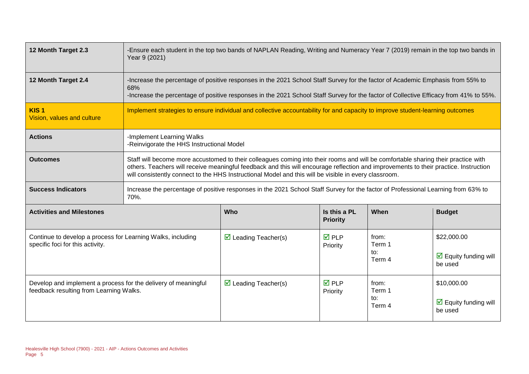| 12 Month Target 2.3                                                                                       | -Ensure each student in the top two bands of NAPLAN Reading, Writing and Numeracy Year 7 (2019) remain in the top two bands in<br>Year 9 (2021)                                                                                                                                                                                                                                    |                                                                                                                                   |                                 |                                  |                                                                       |  |
|-----------------------------------------------------------------------------------------------------------|------------------------------------------------------------------------------------------------------------------------------------------------------------------------------------------------------------------------------------------------------------------------------------------------------------------------------------------------------------------------------------|-----------------------------------------------------------------------------------------------------------------------------------|---------------------------------|----------------------------------|-----------------------------------------------------------------------|--|
| 12 Month Target 2.4                                                                                       | -Increase the percentage of positive responses in the 2021 School Staff Survey for the factor of Academic Emphasis from 55% to<br>68%<br>-Increase the percentage of positive responses in the 2021 School Staff Survey for the factor of Collective Efficacy from 41% to 55%.                                                                                                     |                                                                                                                                   |                                 |                                  |                                                                       |  |
| KIS <sub>1</sub><br>Vision, values and culture                                                            |                                                                                                                                                                                                                                                                                                                                                                                    | Implement strategies to ensure individual and collective accountability for and capacity to improve student-learning outcomes     |                                 |                                  |                                                                       |  |
| <b>Actions</b>                                                                                            | -Implement Learning Walks                                                                                                                                                                                                                                                                                                                                                          | -Reinvigorate the HHS Instructional Model                                                                                         |                                 |                                  |                                                                       |  |
| <b>Outcomes</b>                                                                                           | Staff will become more accustomed to their colleagues coming into their rooms and will be comfortable sharing their practice with<br>others. Teachers will receive meaningful feedback and this will encourage reflection and improvements to their practice. Instruction<br>will consistently connect to the HHS Instructional Model and this will be visible in every classroom. |                                                                                                                                   |                                 |                                  |                                                                       |  |
| <b>Success Indicators</b>                                                                                 | 70%.                                                                                                                                                                                                                                                                                                                                                                               | Increase the percentage of positive responses in the 2021 School Staff Survey for the factor of Professional Learning from 63% to |                                 |                                  |                                                                       |  |
| <b>Activities and Milestones</b>                                                                          |                                                                                                                                                                                                                                                                                                                                                                                    | Who                                                                                                                               | Is this a PL<br><b>Priority</b> | When                             | <b>Budget</b>                                                         |  |
| Continue to develop a process for Learning Walks, including<br>specific foci for this activity.           |                                                                                                                                                                                                                                                                                                                                                                                    | $\triangleright$ Leading Teacher(s)                                                                                               | $\overline{M}$ PLP<br>Priority  | from:<br>Term 1<br>to:<br>Term 4 | \$22,000.00<br>$\overline{\mathbf{y}}$ Equity funding will<br>be used |  |
| Develop and implement a process for the delivery of meaningful<br>feedback resulting from Learning Walks. |                                                                                                                                                                                                                                                                                                                                                                                    | $\triangleright$ Leading Teacher(s)                                                                                               | $\overline{M}$ PLP<br>Priority  | from:<br>Term 1<br>to:<br>Term 4 | \$10,000.00<br>$\triangleright$ Equity funding will<br>be used        |  |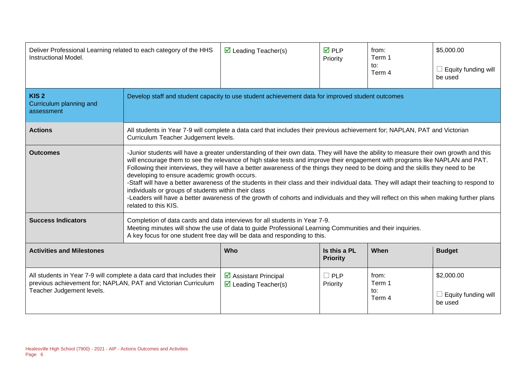| Deliver Professional Learning related to each category of the HHS<br>Instructional Model.                                                                             |                                                                                                                                                                                                                                                                                                                                                                                                                                                                                                                                                                                                                                                                                                                                                                                                                                   | $\triangleright$ Leading Teacher(s)                                                                                                                                | <b>☑</b> PLP<br>Priority        | from:<br>Term 1<br>to:<br>Term 4 | \$5,000.00<br>Equity funding will<br>be used |  |
|-----------------------------------------------------------------------------------------------------------------------------------------------------------------------|-----------------------------------------------------------------------------------------------------------------------------------------------------------------------------------------------------------------------------------------------------------------------------------------------------------------------------------------------------------------------------------------------------------------------------------------------------------------------------------------------------------------------------------------------------------------------------------------------------------------------------------------------------------------------------------------------------------------------------------------------------------------------------------------------------------------------------------|--------------------------------------------------------------------------------------------------------------------------------------------------------------------|---------------------------------|----------------------------------|----------------------------------------------|--|
| KIS <sub>2</sub><br>Curriculum planning and<br>assessment                                                                                                             | Develop staff and student capacity to use student achievement data for improved student outcomes                                                                                                                                                                                                                                                                                                                                                                                                                                                                                                                                                                                                                                                                                                                                  |                                                                                                                                                                    |                                 |                                  |                                              |  |
| <b>Actions</b>                                                                                                                                                        |                                                                                                                                                                                                                                                                                                                                                                                                                                                                                                                                                                                                                                                                                                                                                                                                                                   | All students in Year 7-9 will complete a data card that includes their previous achievement for; NAPLAN, PAT and Victorian<br>Curriculum Teacher Judgement levels. |                                 |                                  |                                              |  |
| <b>Outcomes</b>                                                                                                                                                       | -Junior students will have a greater understanding of their own data. They will have the ability to measure their own growth and this<br>will encourage them to see the relevance of high stake tests and improve their engagement with programs like NAPLAN and PAT.<br>Following their interviews, they will have a better awareness of the things they need to be doing and the skills they need to be<br>developing to ensure academic growth occurs.<br>-Staff will have a better awareness of the students in their class and their individual data. They will adapt their teaching to respond to<br>individuals or groups of students within their class<br>-Leaders will have a better awareness of the growth of cohorts and individuals and they will reflect on this when making further plans<br>related to this KIS. |                                                                                                                                                                    |                                 |                                  |                                              |  |
| <b>Success Indicators</b>                                                                                                                                             | Completion of data cards and data interviews for all students in Year 7-9.<br>Meeting minutes will show the use of data to guide Professional Learning Communities and their inquiries.<br>A key focus for one student free day will be data and responding to this.                                                                                                                                                                                                                                                                                                                                                                                                                                                                                                                                                              |                                                                                                                                                                    |                                 |                                  |                                              |  |
| <b>Activities and Milestones</b>                                                                                                                                      |                                                                                                                                                                                                                                                                                                                                                                                                                                                                                                                                                                                                                                                                                                                                                                                                                                   | Who                                                                                                                                                                | Is this a PL<br><b>Priority</b> | When                             | <b>Budget</b>                                |  |
| All students in Year 7-9 will complete a data card that includes their<br>previous achievement for; NAPLAN, PAT and Victorian Curriculum<br>Teacher Judgement levels. |                                                                                                                                                                                                                                                                                                                                                                                                                                                                                                                                                                                                                                                                                                                                                                                                                                   | $\triangleright$ Assistant Principal<br>$\triangleright$ Leading Teacher(s)                                                                                        | $\Box$ PLP<br>Priority          | from:<br>Term 1<br>to:<br>Term 4 | \$2,000.00<br>Equity funding will<br>be used |  |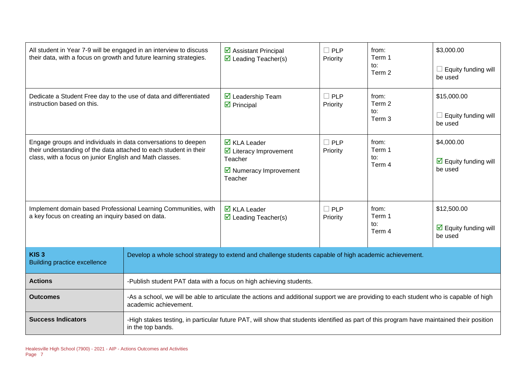| All student in Year 7-9 will be engaged in an interview to discuss<br>their data, with a focus on growth and future learning strategies.                                                      |                                                                                                                                                                 | $\triangleright$ Assistant Principal<br>$\triangledown$ Leading Teacher(s)                                                                | $\Box$ PLP<br>Priority | from:<br>Term 1<br>to:<br>Term 2 | \$3,000.00<br>Equity funding will<br>be used                         |
|-----------------------------------------------------------------------------------------------------------------------------------------------------------------------------------------------|-----------------------------------------------------------------------------------------------------------------------------------------------------------------|-------------------------------------------------------------------------------------------------------------------------------------------|------------------------|----------------------------------|----------------------------------------------------------------------|
| Dedicate a Student Free day to the use of data and differentiated<br>instruction based on this.                                                                                               |                                                                                                                                                                 | $\overline{\mathbf{M}}$ Leadership Team<br>$\triangleright$ Principal                                                                     | $\Box$ PLP<br>Priority | from:<br>Term 2<br>to:<br>Term 3 | \$15,000.00<br>Equity funding will<br>be used                        |
| Engage groups and individuals in data conversations to deepen<br>their understanding of the data attached to each student in their<br>class, with a focus on junior English and Math classes. |                                                                                                                                                                 | $\overline{\mathbf{Z}}$ KLA Leader<br>☑ Literacy Improvement<br>Teacher<br>$\triangleright$ Numeracy Improvement<br>Teacher               | $\Box$ PLP<br>Priority | from:<br>Term 1<br>to:<br>Term 4 | \$4,000.00<br>$\overline{\mathbf{M}}$ Equity funding will<br>be used |
| Implement domain based Professional Learning Communities, with<br>a key focus on creating an inquiry based on data.                                                                           |                                                                                                                                                                 | $\overline{\mathbf{M}}$ KLA Leader<br>$\triangleright$ Leading Teacher(s)                                                                 | $\Box$ PLP<br>Priority | from:<br>Term 1<br>to:<br>Term 4 | \$12,500.00<br>$\triangleright$ Equity funding will<br>be used       |
| KIS <sub>3</sub><br><b>Building practice excellence</b>                                                                                                                                       | Develop a whole school strategy to extend and challenge students capable of high academic achievement.                                                          |                                                                                                                                           |                        |                                  |                                                                      |
| <b>Actions</b>                                                                                                                                                                                | -Publish student PAT data with a focus on high achieving students.                                                                                              |                                                                                                                                           |                        |                                  |                                                                      |
| <b>Outcomes</b>                                                                                                                                                                               | -As a school, we will be able to articulate the actions and additional support we are providing to each student who is capable of high<br>academic achievement. |                                                                                                                                           |                        |                                  |                                                                      |
| <b>Success Indicators</b>                                                                                                                                                                     | in the top bands.                                                                                                                                               | -High stakes testing, in particular future PAT, will show that students identified as part of this program have maintained their position |                        |                                  |                                                                      |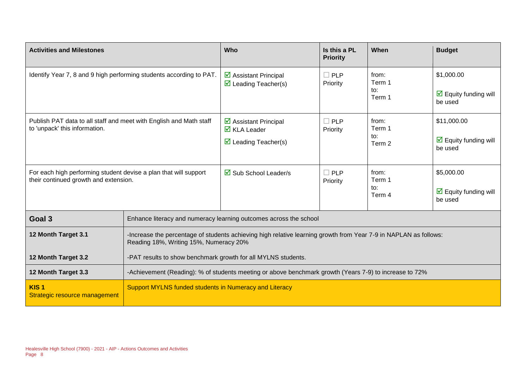| <b>Activities and Milestones</b>                                                                          |                                                                                                        | Who                                                                                                               | Is this a PL<br><b>Priority</b> | When                             | <b>Budget</b>                                                  |
|-----------------------------------------------------------------------------------------------------------|--------------------------------------------------------------------------------------------------------|-------------------------------------------------------------------------------------------------------------------|---------------------------------|----------------------------------|----------------------------------------------------------------|
| Identify Year 7, 8 and 9 high performing students according to PAT.                                       |                                                                                                        | $\boxtimes$ Assistant Principal<br>$\triangleright$ Leading Teacher(s)                                            | $\Box$ PLP<br>Priority          | from:<br>Term 1<br>to:<br>Term 1 | \$1,000.00<br>$\triangleright$ Equity funding will<br>be used  |
| Publish PAT data to all staff and meet with English and Math staff<br>to 'unpack' this information.       |                                                                                                        | $\triangleright$ Assistant Principal<br>$\overline{\mathbf{Z}}$ KLA Leader<br>$\triangleright$ Leading Teacher(s) | $\Box$ PLP<br>Priority          | from:<br>Term 1<br>to:<br>Term 2 | \$11,000.00<br>$\triangleright$ Equity funding will<br>be used |
| For each high performing student devise a plan that will support<br>their continued growth and extension. |                                                                                                        | $\boxtimes$ Sub School Leader/s                                                                                   | $\Box$ PLP<br>Priority          | from:<br>Term 1<br>to:<br>Term 4 | \$5,000.00<br>$\triangleright$ Equity funding will<br>be used  |
| Goal 3                                                                                                    |                                                                                                        | Enhance literacy and numeracy learning outcomes across the school                                                 |                                 |                                  |                                                                |
| 12 Month Target 3.1                                                                                       | Reading 18%, Writing 15%, Numeracy 20%                                                                 | -Increase the percentage of students achieving high relative learning growth from Year 7-9 in NAPLAN as follows:  |                                 |                                  |                                                                |
| 12 Month Target 3.2                                                                                       | -PAT results to show benchmark growth for all MYLNS students.                                          |                                                                                                                   |                                 |                                  |                                                                |
| 12 Month Target 3.3                                                                                       | -Achievement (Reading): % of students meeting or above benchmark growth (Years 7-9) to increase to 72% |                                                                                                                   |                                 |                                  |                                                                |
| KIS <sub>1</sub><br>Strategic resource management                                                         | Support MYLNS funded students in Numeracy and Literacy                                                 |                                                                                                                   |                                 |                                  |                                                                |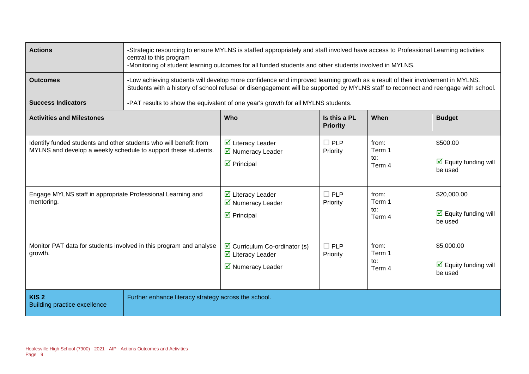| <b>Actions</b>                                                                                                                                                                                                   | -Strategic resourcing to ensure MYLNS is staffed appropriately and staff involved have access to Professional Learning activities<br>central to this program<br>-Monitoring of student learning outcomes for all funded students and other students involved in MYLNS. |                                                                                                                                      |                                                  |                                                     |                                                                                   |  |
|------------------------------------------------------------------------------------------------------------------------------------------------------------------------------------------------------------------|------------------------------------------------------------------------------------------------------------------------------------------------------------------------------------------------------------------------------------------------------------------------|--------------------------------------------------------------------------------------------------------------------------------------|--------------------------------------------------|-----------------------------------------------------|-----------------------------------------------------------------------------------|--|
| <b>Outcomes</b>                                                                                                                                                                                                  | -Low achieving students will develop more confidence and improved learning growth as a result of their involvement in MYLNS.<br>Students with a history of school refusal or disengagement will be supported by MYLNS staff to reconnect and reengage with school.     |                                                                                                                                      |                                                  |                                                     |                                                                                   |  |
| <b>Success Indicators</b>                                                                                                                                                                                        |                                                                                                                                                                                                                                                                        | -PAT results to show the equivalent of one year's growth for all MYLNS students.                                                     |                                                  |                                                     |                                                                                   |  |
| <b>Activities and Milestones</b>                                                                                                                                                                                 |                                                                                                                                                                                                                                                                        | <b>Who</b>                                                                                                                           | Is this a PL<br><b>Priority</b>                  | When                                                | <b>Budget</b>                                                                     |  |
| Identify funded students and other students who will benefit from<br>MYLNS and develop a weekly schedule to support these students.<br>Engage MYLNS staff in appropriate Professional Learning and<br>mentoring. |                                                                                                                                                                                                                                                                        | $\overline{\mathbf{y}}$ Literacy Leader<br>■ Numeracy Leader<br>$\triangleright$ Principal<br>☑ Literacy Leader<br>■ Numeracy Leader | <b>PLP</b><br>Priority<br><b>PLP</b><br>Priority | from:<br>Term 1<br>to:<br>Term 4<br>from:<br>Term 1 | \$500.00<br>$\overline{\mathbf{M}}$ Equity funding will<br>be used<br>\$20,000.00 |  |
|                                                                                                                                                                                                                  |                                                                                                                                                                                                                                                                        | $\triangleright$ Principal                                                                                                           |                                                  | to:<br>Term 4                                       | $\overline{\mathbf{M}}$ Equity funding will<br>be used                            |  |
| Monitor PAT data for students involved in this program and analyse<br>growth.                                                                                                                                    |                                                                                                                                                                                                                                                                        | $\triangleright$ Curriculum Co-ordinator (s)<br>$\overline{\mathbf{y}}$ Literacy Leader<br>■ Numeracy Leader                         | <b>PLP</b><br>Priority                           | from:<br>Term 1<br>$\mathsf{to}:$<br>Term 4         | \$5,000.00<br>$\overline{\mathbf{y}}$ Equity funding will<br>be used              |  |
| KIS <sub>2</sub><br><b>Building practice excellence</b>                                                                                                                                                          | Further enhance literacy strategy across the school.                                                                                                                                                                                                                   |                                                                                                                                      |                                                  |                                                     |                                                                                   |  |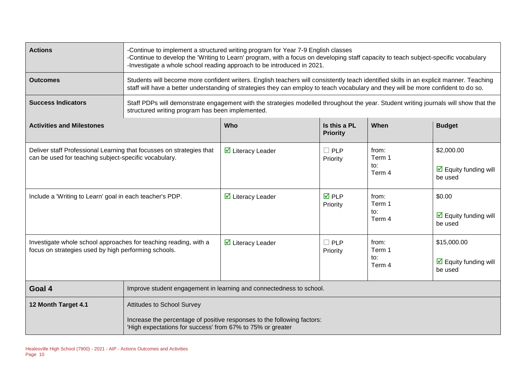| <b>Actions</b>                                                                                                                | -Continue to implement a structured writing program for Year 7-9 English classes<br>-Continue to develop the 'Writing to Learn' program, with a focus on developing staff capacity to teach subject-specific vocabulary<br>-Investigate a whole school reading approach to be introduced in 2021. |                                                                                                                                                                                                                                                                               |                                 |                                  |                                                                       |  |  |
|-------------------------------------------------------------------------------------------------------------------------------|---------------------------------------------------------------------------------------------------------------------------------------------------------------------------------------------------------------------------------------------------------------------------------------------------|-------------------------------------------------------------------------------------------------------------------------------------------------------------------------------------------------------------------------------------------------------------------------------|---------------------------------|----------------------------------|-----------------------------------------------------------------------|--|--|
| <b>Outcomes</b>                                                                                                               |                                                                                                                                                                                                                                                                                                   | Students will become more confident writers. English teachers will consistently teach identified skills in an explicit manner. Teaching<br>staff will have a better understanding of strategies they can employ to teach vocabulary and they will be more confident to do so. |                                 |                                  |                                                                       |  |  |
| <b>Success Indicators</b>                                                                                                     |                                                                                                                                                                                                                                                                                                   | Staff PDPs will demonstrate engagement with the strategies modelled throughout the year. Student writing journals will show that the<br>structured writing program has been implemented.                                                                                      |                                 |                                  |                                                                       |  |  |
| <b>Activities and Milestones</b>                                                                                              |                                                                                                                                                                                                                                                                                                   | <b>Who</b>                                                                                                                                                                                                                                                                    | Is this a PL<br><b>Priority</b> | When                             | <b>Budget</b>                                                         |  |  |
| Deliver staff Professional Learning that focusses on strategies that<br>can be used for teaching subject-specific vocabulary. |                                                                                                                                                                                                                                                                                                   | $\overline{\mathbf{y}}$ Literacy Leader                                                                                                                                                                                                                                       | $\Box$ PLP<br>Priority          | from:<br>Term 1<br>to:<br>Term 4 | \$2,000.00<br>$\boxed{\triangle}$ Equity funding will<br>be used      |  |  |
| Include a 'Writing to Learn' goal in each teacher's PDP.                                                                      |                                                                                                                                                                                                                                                                                                   | $\overline{\mathbf{y}}$ Literacy Leader                                                                                                                                                                                                                                       | $\overline{M}$ PLP<br>Priority  | from:<br>Term 1<br>to:<br>Term 4 | \$0.00<br>$\triangleright$ Equity funding will<br>be used             |  |  |
| Investigate whole school approaches for teaching reading, with a<br>focus on strategies used by high performing schools.      |                                                                                                                                                                                                                                                                                                   | $\boxtimes$ Literacy Leader                                                                                                                                                                                                                                                   | $\square$ PLP<br>Priority       | from:<br>Term 1<br>to:<br>Term 4 | \$15,000.00<br>$\overline{\mathbf{M}}$ Equity funding will<br>be used |  |  |
| Goal 4                                                                                                                        | Improve student engagement in learning and connectedness to school.                                                                                                                                                                                                                               |                                                                                                                                                                                                                                                                               |                                 |                                  |                                                                       |  |  |
| 12 Month Target 4.1                                                                                                           | <b>Attitudes to School Survey</b><br>Increase the percentage of positive responses to the following factors:<br>'High expectations for success' from 67% to 75% or greater                                                                                                                        |                                                                                                                                                                                                                                                                               |                                 |                                  |                                                                       |  |  |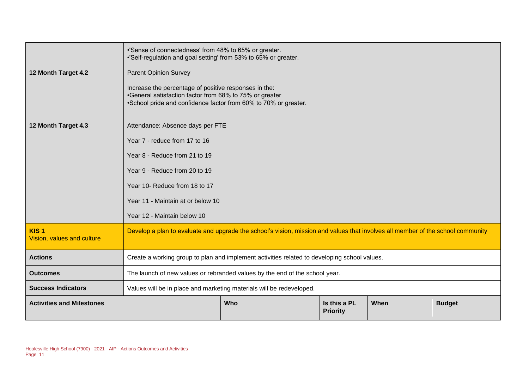|                                                | •'Sense of connectedness' from 48% to 65% or greater.<br>.'Self-regulation and goal setting' from 53% to 65% or greater.                                                            |     |                                 |      |               |  |
|------------------------------------------------|-------------------------------------------------------------------------------------------------------------------------------------------------------------------------------------|-----|---------------------------------|------|---------------|--|
| 12 Month Target 4.2                            | <b>Parent Opinion Survey</b>                                                                                                                                                        |     |                                 |      |               |  |
|                                                | Increase the percentage of positive responses in the:<br>•General satisfaction factor from 68% to 75% or greater<br>•School pride and confidence factor from 60% to 70% or greater. |     |                                 |      |               |  |
| 12 Month Target 4.3                            | Attendance: Absence days per FTE                                                                                                                                                    |     |                                 |      |               |  |
|                                                | Year 7 - reduce from 17 to 16                                                                                                                                                       |     |                                 |      |               |  |
|                                                | Year 8 - Reduce from 21 to 19                                                                                                                                                       |     |                                 |      |               |  |
|                                                | Year 9 - Reduce from 20 to 19                                                                                                                                                       |     |                                 |      |               |  |
|                                                | Year 10- Reduce from 18 to 17                                                                                                                                                       |     |                                 |      |               |  |
|                                                | Year 11 - Maintain at or below 10                                                                                                                                                   |     |                                 |      |               |  |
|                                                | Year 12 - Maintain below 10                                                                                                                                                         |     |                                 |      |               |  |
| KIS <sub>1</sub><br>Vision, values and culture | Develop a plan to evaluate and upgrade the school's vision, mission and values that involves all member of the school community                                                     |     |                                 |      |               |  |
| <b>Actions</b>                                 | Create a working group to plan and implement activities related to developing school values.                                                                                        |     |                                 |      |               |  |
| <b>Outcomes</b>                                | The launch of new values or rebranded values by the end of the school year.                                                                                                         |     |                                 |      |               |  |
| <b>Success Indicators</b>                      | Values will be in place and marketing materials will be redeveloped.                                                                                                                |     |                                 |      |               |  |
| <b>Activities and Milestones</b>               |                                                                                                                                                                                     | Who | Is this a PL<br><b>Priority</b> | When | <b>Budget</b> |  |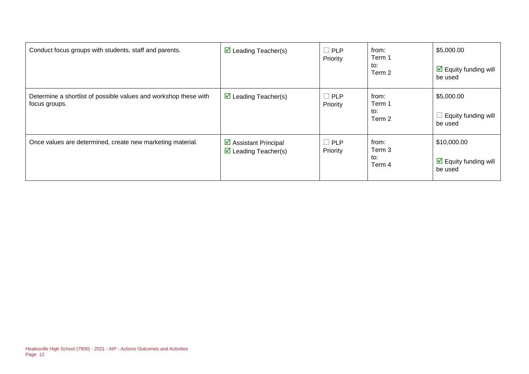| Conduct focus groups with students, staff and parents.                            | $\triangleright$ Leading Teacher(s)                                         | $\Box$ PLP<br>Priority | from:<br>Term 1<br>to:<br>Term 2 | \$5,000.00<br>$\boxdot$ Equity funding will<br>be used  |
|-----------------------------------------------------------------------------------|-----------------------------------------------------------------------------|------------------------|----------------------------------|---------------------------------------------------------|
| Determine a shortlist of possible values and workshop these with<br>focus groups. | $\triangleright$ Leading Teacher(s)                                         | $\Box$ PLP<br>Priority | from:<br>Term 1<br>to:<br>Term 2 | \$5,000.00<br>Equity funding will<br>be used            |
| Once values are determined, create new marketing material.                        | $\triangleright$ Assistant Principal<br>$\triangleright$ Leading Teacher(s) | $\Box$ PLP<br>Priority | from:<br>Term 3<br>to:<br>Term 4 | \$10,000.00<br>$\boxdot$ Equity funding will<br>be used |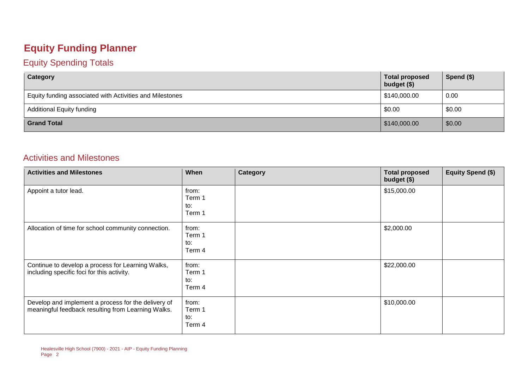## **Equity Funding Planner**

#### Equity Spending Totals

| Category                                                 | <b>Total proposed</b><br>budget (\$) | Spend $(\$)$ |
|----------------------------------------------------------|--------------------------------------|--------------|
| Equity funding associated with Activities and Milestones | \$140,000.00                         | 0.00         |
| <b>Additional Equity funding</b>                         | \$0.00                               | \$0.00       |
| <b>Grand Total</b>                                       | \$140,000.00                         | \$0.00       |

#### Activities and Milestones

| <b>Activities and Milestones</b>                                                                          | When                             | Category | <b>Total proposed</b><br>budget (\$) | <b>Equity Spend (\$)</b> |
|-----------------------------------------------------------------------------------------------------------|----------------------------------|----------|--------------------------------------|--------------------------|
| Appoint a tutor lead.                                                                                     | from:<br>Term 1<br>to:<br>Term 1 |          | \$15,000.00                          |                          |
| Allocation of time for school community connection.                                                       | from:<br>Term 1<br>to:<br>Term 4 |          | \$2,000.00                           |                          |
| Continue to develop a process for Learning Walks,<br>including specific foci for this activity.           | from:<br>Term 1<br>to:<br>Term 4 |          | \$22,000.00                          |                          |
| Develop and implement a process for the delivery of<br>meaningful feedback resulting from Learning Walks. | from:<br>Term 1<br>to:<br>Term 4 |          | \$10,000.00                          |                          |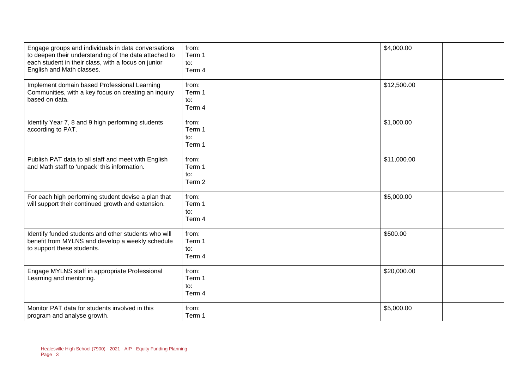| Engage groups and individuals in data conversations<br>to deepen their understanding of the data attached to<br>each student in their class, with a focus on junior<br>English and Math classes. | from:<br>Term 1<br>to:<br>Term 4 | \$4,000.00  |
|--------------------------------------------------------------------------------------------------------------------------------------------------------------------------------------------------|----------------------------------|-------------|
| Implement domain based Professional Learning<br>Communities, with a key focus on creating an inquiry<br>based on data.                                                                           | from:<br>Term 1<br>to:<br>Term 4 | \$12,500.00 |
| Identify Year 7, 8 and 9 high performing students<br>according to PAT.                                                                                                                           | from:<br>Term 1<br>to:<br>Term 1 | \$1,000.00  |
| Publish PAT data to all staff and meet with English<br>and Math staff to 'unpack' this information.                                                                                              | from:<br>Term 1<br>to:<br>Term 2 | \$11,000.00 |
| For each high performing student devise a plan that<br>will support their continued growth and extension.                                                                                        | from:<br>Term 1<br>to:<br>Term 4 | \$5,000.00  |
| Identify funded students and other students who will<br>benefit from MYLNS and develop a weekly schedule<br>to support these students.                                                           | from:<br>Term 1<br>to:<br>Term 4 | \$500.00    |
| Engage MYLNS staff in appropriate Professional<br>Learning and mentoring.                                                                                                                        | from:<br>Term 1<br>to:<br>Term 4 | \$20,000.00 |
| Monitor PAT data for students involved in this<br>program and analyse growth.                                                                                                                    | from:<br>Term 1                  | \$5,000.00  |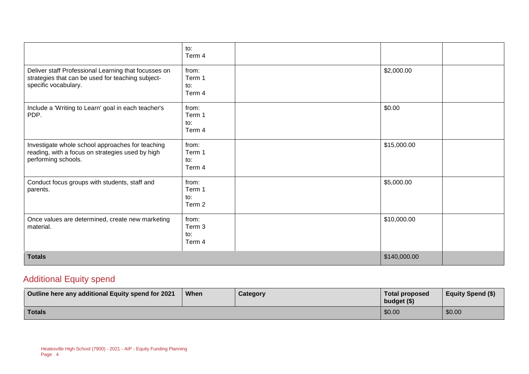|                                                                                                                                   | to:<br>Term 4                    |              |  |
|-----------------------------------------------------------------------------------------------------------------------------------|----------------------------------|--------------|--|
| Deliver staff Professional Learning that focusses on<br>strategies that can be used for teaching subject-<br>specific vocabulary. | from:<br>Term 1<br>to:<br>Term 4 | \$2,000.00   |  |
| Include a 'Writing to Learn' goal in each teacher's<br>PDP.                                                                       | from:<br>Term 1<br>to:<br>Term 4 | \$0.00       |  |
| Investigate whole school approaches for teaching<br>reading, with a focus on strategies used by high<br>performing schools.       | from:<br>Term 1<br>to:<br>Term 4 | \$15,000.00  |  |
| Conduct focus groups with students, staff and<br>parents.                                                                         | from:<br>Term 1<br>to:<br>Term 2 | \$5,000.00   |  |
| Once values are determined, create new marketing<br>material.                                                                     | from:<br>Term 3<br>to:<br>Term 4 | \$10,000.00  |  |
| <b>Totals</b>                                                                                                                     |                                  | \$140,000.00 |  |

#### Additional Equity spend

| Outline here any additional Equity spend for 2021 | <b>When</b> | Category | <b>Total proposed</b><br>budget $($)$ | <b>Equity Spend (\$)</b> |
|---------------------------------------------------|-------------|----------|---------------------------------------|--------------------------|
| <b>Totals</b>                                     |             |          | \$0.00                                | \$0.00                   |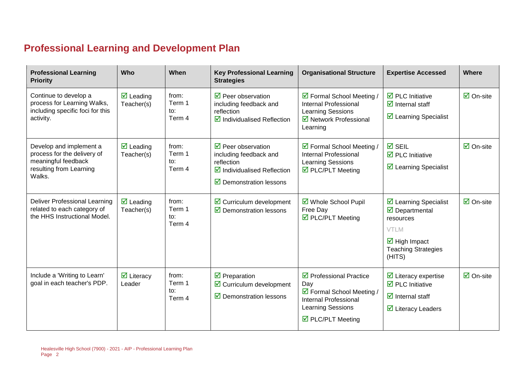## **Professional Learning and Development Plan**

| <b>Professional Learning</b><br><b>Priority</b>                                                                    | Who                                           | When                             | <b>Key Professional Learning</b><br><b>Strategies</b>                                                                                                            | <b>Organisational Structure</b>                                                                                                                      | <b>Expertise Accessed</b>                                                                                                                                                        | Where                          |
|--------------------------------------------------------------------------------------------------------------------|-----------------------------------------------|----------------------------------|------------------------------------------------------------------------------------------------------------------------------------------------------------------|------------------------------------------------------------------------------------------------------------------------------------------------------|----------------------------------------------------------------------------------------------------------------------------------------------------------------------------------|--------------------------------|
| Continue to develop a<br>process for Learning Walks,<br>including specific foci for this<br>activity.              | $\overline{\mathbf{M}}$ Leading<br>Teacher(s) | from:<br>Term 1<br>to:<br>Term 4 | $\triangledown$ Peer observation<br>including feedback and<br>reflection<br>$\boxtimes$ Individualised Reflection                                                | ☑ Formal School Meeting /<br><b>Internal Professional</b><br><b>Learning Sessions</b><br>☑ Network Professional<br>Learning                          | $\overline{\mathbf{2}}$ PLC Initiative<br>$\overline{\mathbf{z}}$ Internal staff<br>☑ Learning Specialist                                                                        | $\overline{\Box}$ On-site      |
| Develop and implement a<br>process for the delivery of<br>meaningful feedback<br>resulting from Learning<br>Walks. | $\overline{\mathbf{M}}$ Leading<br>Teacher(s) | from:<br>Term 1<br>to:<br>Term 4 | $\triangledown$ Peer observation<br>including feedback and<br>reflection<br>$\triangleright$ Individualised Reflection<br>$\triangleright$ Demonstration lessons | ☑ Formal School Meeting /<br>Internal Professional<br><b>Learning Sessions</b><br>☑ PLC/PLT Meeting                                                  | $\overline{M}$ SEIL<br>$\overline{\mathbf{2}}$ PLC Initiative<br>☑ Learning Specialist                                                                                           | $\overline{\Box}$ On-site      |
| <b>Deliver Professional Learning</b><br>related to each category of<br>the HHS Instructional Model.                | $\triangledown$ Leading<br>Teacher(s)         | from:<br>Term 1<br>to:<br>Term 4 | $\triangleright$ Curriculum development<br>$\triangleright$ Demonstration lessons                                                                                | ☑ Whole School Pupil<br>Free Day<br>☑ PLC/PLT Meeting                                                                                                | $\triangleright$ Learning Specialist<br>$\overline{\mathbf{y}}$ Departmental<br>resources<br>VTLM<br>$\overline{\mathbf{M}}$ High Impact<br><b>Teaching Strategies</b><br>(HITS) | $\overline{\boxtimes}$ On-site |
| Include a 'Writing to Learn'<br>goal in each teacher's PDP.                                                        | $\overline{\mathbf{M}}$ Literacy<br>Leader    | from:<br>Term 1<br>to:<br>Term 4 | $\overline{\mathbf{y}}$ Preparation<br>$\triangleright$ Curriculum development<br>$\triangleright$ Demonstration lessons                                         | $\triangleright$ Professional Practice<br>Day<br>☑ Formal School Meeting /<br><b>Internal Professional</b><br>Learning Sessions<br>☑ PLC/PLT Meeting | $\triangleright$ Literacy expertise<br>$\overline{\mathbf{2}}$ PLC Initiative<br>$\overline{\mathbf{y}}$ Internal staff<br>$\triangleright$ Literacy Leaders                     | $\boxdot$ On-site              |